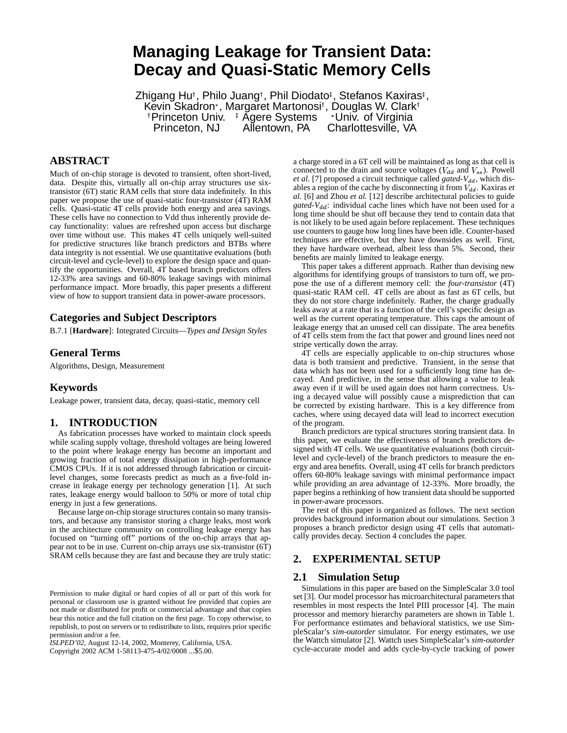# **Managing Leakage for Transient Data: Decay and Quasi-Static Memory Cells**

Zhigang Hu†, Philo Juang†, Phil Diodato‡, Stefanos Kaxiras‡, Kevin Skadron<sup>,</sup>, Margaret Martonosi<sup>†</sup>, Douglas W. Clark<sup>†</sup> Princeton Univ. Agere Systems - Univ. of Virginia Princeton, NJ Allentown, PA Charlottesville, VA

# **ABSTRACT**

Much of on-chip storage is devoted to transient, often short-lived, data. Despite this, virtually all on-chip array structures use sixtransistor (6T) static RAM cells that store data indefinitely. In this paper we propose the use of quasi-static four-transistor (4T) RAM cells. Quasi-static 4T cells provide both energy and area savings. These cells have no connection to Vdd thus inherently provide decay functionality: values are refreshed upon access but discharge over time without use. This makes 4T cells uniquely well-suited for predictive structures like branch predictors and BTBs where data integrity is not essential. We use quantitative evaluations (both circuit-level and cycle-level) to explore the design space and quantify the opportunities. Overall, 4T based branch predictors offers 12-33% area savings and 60-80% leakage savings with minimal performance impact. More broadly, this paper presents a different view of how to support transient data in power-aware processors.

# **Categories and Subject Descriptors**

B.7.1 [**Hardware**]: Integrated Circuits—*Types and Design Styles*

#### **General Terms**

Algorithms, Design, Measurement

### **Keywords**

Leakage power, transient data, decay, quasi-static, memory cell

## **1. INTRODUCTION**

As fabrication processes have worked to maintain clock speeds while scaling supply voltage, threshold voltages are being lowered to the point where leakage energy has become an important and growing fraction of total energy dissipation in high-performance CMOS CPUs. If it is not addressed through fabrication or circuitlevel changes, some forecasts predict as much as a five-fold increase in leakage energy per technology generation [1]. At such rates, leakage energy would balloon to 50% or more of total chip energy in just a few generations.

Because large on-chip storage structures contain so many transistors, and because any transistor storing a charge leaks, most work in the architecture community on controlling leakage energy has focused on "turning off" portions of the on-chip arrays that appear not to be in use. Current on-chip arrays use six-transistor (6T) SRAM cells because they are fast and because they are truly static:

*ISLPED'02,* August 12-14, 2002, Monterey, California, USA.

Copyright 2002 ACM 1-58113-475-4/02/0008 ...\$5.00.

a charge stored in a 6T cell will be maintained as long as that cell is connected to the drain and source voltages ( $V_{dd}$  and  $V_{ss}$ ). Powell et al. [7] proposed a circuit technique called *gated-V<sub>dd</sub>*, which disables a region of the cache by disconnecting it from  $V_{dd}$ . Kaxiras *et al.* [6] and Zhou *et al.* [12] describe architectural policies to guide gated-V<sub>dd</sub>: individual cache lines which have not been used for a long time should be shut off because they tend to contain data that is not likely to be used again before replacement. These techniques use counters to gauge how long lines have been idle. Counter-based techniques are effective, but they have downsides as well. First, they have hardware overhead, albeit less than 5%. Second, their benefits are mainly limited to leakage energy.

This paper takes a different approach. Rather than devising new algorithms for identifying groups of transistors to turn off, we propose the use of a different memory cell: the *four-transistor* (4T) quasi-static RAM cell. 4T cells are about as fast as 6T cells, but they do not store charge indefinitely. Rather, the charge gradually leaks away at a rate that is a function of the cell's specific design as well as the current operating temperature. This caps the amount of leakage energy that an unused cell can dissipate. The area benefits of 4T cells stem from the fact that power and ground lines need not stripe vertically down the array.

4T cells are especially applicable to on-chip structures whose data is both transient and predictive. Transient, in the sense that data which has not been used for a sufficiently long time has decayed. And predictive, in the sense that allowing a value to leak away even if it will be used again does not harm correctness. Using a decayed value will possibly cause a misprediction that can be corrected by existing hardware. This is a key difference from caches, where using decayed data will lead to incorrect execution of the program.

Branch predictors are typical structures storing transient data. In this paper, we evaluate the effectiveness of branch predictors designed with 4T cells. We use quantitative evaluations (both circuitlevel and cycle-level) of the branch predictors to measure the energy and area benefits. Overall, using 4T cells for branch predictors offers 60-80% leakage savings with minimal performance impact while providing an area advantage of 12-33%. More broadly, the paper begins a rethinking of how transient data should be supported in power-aware processors.

The rest of this paper is organized as follows. The next section provides background information about our simulations. Section 3 proposes a branch predictor design using 4T cells that automatically provides decay. Section 4 concludes the paper.

## **2. EXPERIMENTAL SETUP**

#### **2.1 Simulation Setup**

Simulations in this paper are based on the SimpleScalar 3.0 tool set [3]. Our model processor has microarchitectural parameters that resembles in most respects the Intel PIII processor [4]. The main processor and memory hierarchy parameters are shown in Table 1. For performance estimates and behavioral statistics, we use SimpleScalar's *sim-outorder* simulator. For energy estimates, we use the Wattch simulator [2]. Wattch uses SimpleScalar's *sim-outorder* cycle-accurate model and adds cycle-by-cycle tracking of power

Permission to make digital or hard copies of all or part of this work for personal or classroom use is granted without fee provided that copies are not made or distributed for profit or commercial advantage and that copies bear this notice and the full citation on the first page. To copy otherwise, to republish, to post on servers or to redistribute to lists, requires prior specific permission and/or a fee.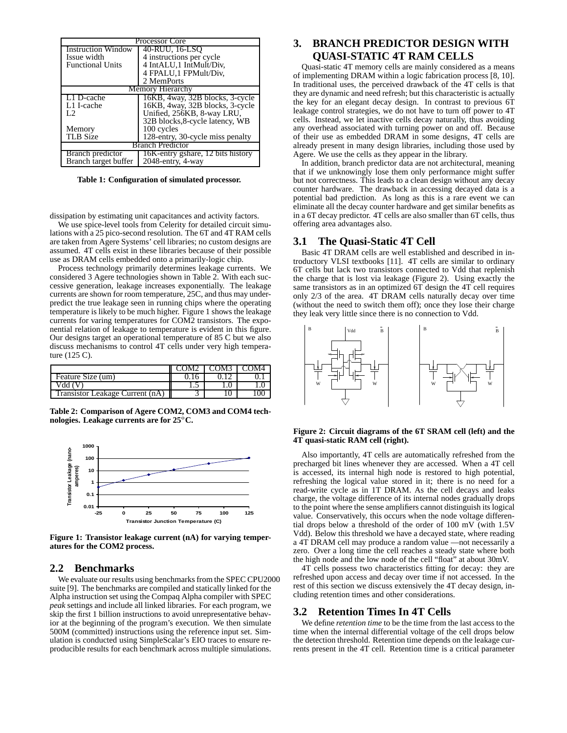| <b>Processor Core</b>     |                                   |  |  |  |
|---------------------------|-----------------------------------|--|--|--|
| <b>Instruction Window</b> | 40-RUU, 16-LSO                    |  |  |  |
| Issue width               | 4 instructions per cycle          |  |  |  |
| <b>Functional Units</b>   | 4 IntALU, 1 IntMult/Div.          |  |  |  |
|                           | 4 FPALU, 1 FPMult/Div,            |  |  |  |
|                           | 2 MemPorts                        |  |  |  |
| Memory Hierarchy          |                                   |  |  |  |
| L1 D-cache                | 16KB, 4way, 32B blocks, 3-cycle   |  |  |  |
| L1 I-cache                | 16KB, 4way, 32B blocks, 3-cycle   |  |  |  |
| L2                        | Unified, 256KB, 8-way LRU,        |  |  |  |
|                           | 32B blocks, 8-cycle latency, WB   |  |  |  |
| Memory                    | 100 cycles                        |  |  |  |
| <b>TLB</b> Size           | 128-entry, 30-cycle miss penalty  |  |  |  |
| <b>Branch Predictor</b>   |                                   |  |  |  |
| Branch predictor          | 16K-entry gshare, 12 bits history |  |  |  |
| Branch target buffer      | 2048-entry, 4-way                 |  |  |  |

**Table 1: Configuration of simulated processor.**

dissipation by estimating unit capacitances and activity factors.

We use spice-level tools from Celerity for detailed circuit simulations with a 25 pico-second resolution. The 6T and 4T RAM cells are taken from Agere Systems' cell libraries; no custom designs are assumed. 4T cells exist in these libraries because of their possible use as DRAM cells embedded onto a primarily-logic chip.

Process technology primarily determines leakage currents. We considered 3 Agere technologies shown in Table 2. With each successive generation, leakage increases exponentially. The leakage currents are shown for room temperature, 25C, and thus may underpredict the true leakage seen in running chips where the operating temperature is likely to be much higher. Figure 1 shows the leakage currents for varing temperatures for COM2 transistors. The exponential relation of leakage to temperature is evident in this figure. Our designs target an operational temperature of 85 C but we also discuss mechanisms to control 4T cells under very high temperature (125 C).

|                                 | COM3. |  |
|---------------------------------|-------|--|
| Feature Size (um)               |       |  |
| vdd '                           |       |  |
| Transistor Leakage Current (nA) |       |  |

**Table 2: Comparison of Agere COM2, COM3 and COM4 technologies. Leakage currents are for 25 C.**



**Figure 1: Transistor leakage current (nA) for varying temperatures for the COM2 process.**

#### **2.2 Benchmarks**

We evaluate our results using benchmarks from the SPEC CPU2000 suite [9]. The benchmarks are compiled and statically linked for the Alpha instruction set using the Compaq Alpha compiler with SPEC *peak* settings and include all linked libraries. For each program, we skip the first 1 billion instructions to avoid unrepresentative behavior at the beginning of the program's execution. We then simulate 500M (committed) instructions using the reference input set. Simulation is conducted using SimpleScalar's EIO traces to ensure reproducible results for each benchmark across multiple simulations.

# **3. BRANCH PREDICTOR DESIGN WITH QUASI-STATIC 4T RAM CELLS**

Quasi-static 4T memory cells are mainly considered as a means of implementing DRAM within a logic fabrication process [8, 10]. In traditional uses, the perceived drawback of the 4T cells is that they are dynamic and need refresh; but this characteristic is actually the key for an elegant decay design. In contrast to previous 6T leakage control strategies, we do not have to turn off power to 4T cells. Instead, we let inactive cells decay naturally, thus avoiding any overhead associated with turning power on and off. Because of their use as embedded DRAM in some designs, 4T cells are already present in many design libraries, including those used by Agere. We use the cells as they appear in the library.

In addition, branch predictor data are not architectural, meaning that if we unknowingly lose them only performance might suffer but not correctness. This leads to a clean design without any decay counter hardware. The drawback in accessing decayed data is a potential bad prediction. As long as this is a rare event we can eliminate all the decay counter hardware and get similar benefits as in a 6T decay predictor. 4T cells are also smaller than 6T cells, thus offering area advantages also.

#### **3.1 The Quasi-Static 4T Cell**

Basic 4T DRAM cells are well established and described in introductory VLSI textbooks [11]. 4T cells are similar to ordinary 6T cells but lack two transistors connected to Vdd that replenish the charge that is lost via leakage (Figure 2). Using exactly the same transistors as in an optimized 6T design the 4T cell requires only 2/3 of the area. 4T DRAM cells naturally decay over time (without the need to switch them off); once they lose their charge they leak very little since there is no connection to Vdd.



#### **Figure 2: Circuit diagrams of the 6T SRAM cell (left) and the 4T quasi-static RAM cell (right).**

Also importantly, 4T cells are automatically refreshed from the precharged bit lines whenever they are accessed. When a 4T cell is accessed, its internal high node is restored to high potential, refreshing the logical value stored in it; there is no need for a read-write cycle as in 1T DRAM. As the cell decays and leaks charge, the voltage difference of its internal nodes gradually drops to the point where the sense amplifiers cannot distinguish its logical value. Conservatively, this occurs when the node voltage differential drops below a threshold of the order of 100 mV (with 1.5V Vdd). Below this threshold we have a decayed state, where reading a 4T DRAM cell may produce a random value —not necessarily a zero. Over a long time the cell reaches a steady state where both the high node and the low node of the cell "float" at about 30mV.

4T cells possess two characteristics fitting for decay: they are refreshed upon access and decay over time if not accessed. In the rest of this section we discuss extensively the 4T decay design, including retention times and other considerations.

# **3.2 Retention Times In 4T Cells**

We define *retention time* to be the time from the last access to the time when the internal differential voltage of the cell drops below the detection threshold. Retention time depends on the leakage currents present in the 4T cell. Retention time is a critical parameter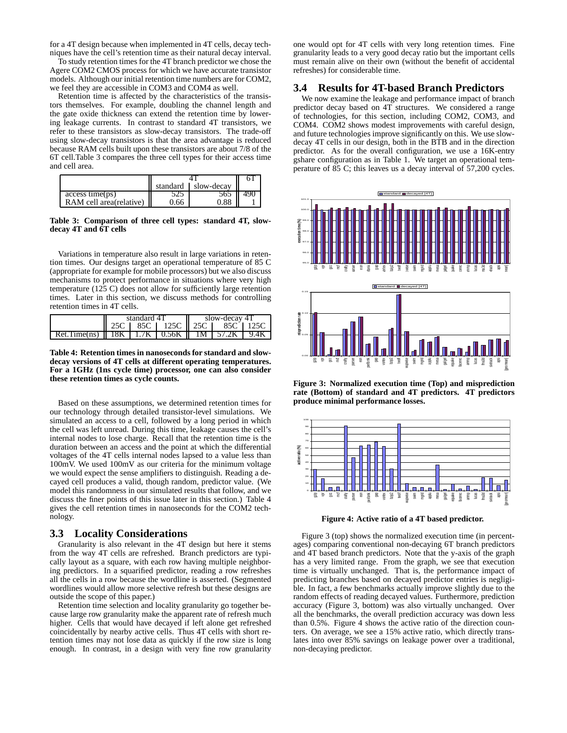for a 4T design because when implemented in 4T cells, decay techniques have the cell's retention time as their natural decay interval.

To study retention times for the 4T branch predictor we chose the Agere COM2 CMOS process for which we have accurate transistor models. Although our initial retention time numbers are for COM2, we feel they are accessible in COM3 and COM4 as well.

Retention time is affected by the characteristics of the transistors themselves. For example, doubling the channel length and the gate oxide thickness can extend the retention time by lowering leakage currents. In contrast to standard 4T transistors, we refer to these transistors as slow-decay transistors. The trade-off using slow-decay transistors is that the area advantage is reduced because RAM cells built upon these transistors are about 7/8 of the 6T cell.Table 3 compares the three cell types for their access time and cell area.

|                                     |      | standard Slow-decay |      |
|-------------------------------------|------|---------------------|------|
| access time(ps)                     |      | 565 II              | -490 |
| RAM cell area(relative) $\parallel$ | 0.66 | 0.88                |      |

**Table 3: Comparison of three cell types: standard 4T, slowdecay 4T and 6T cells**

Variations in temperature also result in large variations in retention times. Our designs target an operational temperature of 85 C (appropriate for example for mobile processors) but we also discuss mechanisms to protect performance in situations where very high temperature (125 C) does not allow for sufficiently large retention times. Later in this section, we discuss methods for controlling retention times in 4T cells.

|                   | standard 41 |      | slow-decay 41 |     |      |  |
|-------------------|-------------|------|---------------|-----|------|--|
|                   |             | 85C  | 125C          | 25C | -85C |  |
| Time(ns)<br>Ret i | 18K<br>Ш    | 1.7K | 10.56K        | 1M. | 2К   |  |

**Table 4: Retention times in nanoseconds for standard and slowdecay versions of 4T cells at different operating temperatures. For a 1GHz (1ns cycle time) processor, one can also consider these retention times as cycle counts.**

Based on these assumptions, we determined retention times for our technology through detailed transistor-level simulations. We simulated an access to a cell, followed by a long period in which the cell was left unread. During this time, leakage causes the cell's internal nodes to lose charge. Recall that the retention time is the duration between an access and the point at which the differential voltages of the 4T cells internal nodes lapsed to a value less than 100mV. We used 100mV as our criteria for the minimum voltage we would expect the sense amplifiers to distinguish. Reading a decayed cell produces a valid, though random, predictor value. (We model this randomness in our simulated results that follow, and we discuss the finer points of this issue later in this section.) Table 4 gives the cell retention times in nanoseconds for the COM2 technology.

#### **3.3 Locality Considerations**

Granularity is also relevant in the 4T design but here it stems from the way 4T cells are refreshed. Branch predictors are typically layout as a square, with each row having multiple neighboring predictors. In a squarified predictor, reading a row refreshes all the cells in a row because the wordline is asserted. (Segmented wordlines would allow more selective refresh but these designs are outside the scope of this paper.)

Retention time selection and locality granularity go together because large row granularity make the apparent rate of refresh much higher. Cells that would have decayed if left alone get refreshed coincidentally by nearby active cells. Thus 4T cells with short retention times may not lose data as quickly if the row size is long enough. In contrast, in a design with very fine row granularity

one would opt for 4T cells with very long retention times. Fine granularity leads to a very good decay ratio but the important cells must remain alive on their own (without the benefit of accidental refreshes) for considerable time.

#### **3.4 Results for 4T-based Branch Predictors**

We now examine the leakage and performance impact of branch predictor decay based on 4T structures. We considered a range of technologies, for this section, including COM2, COM3, and COM4. COM2 shows modest improvements with careful design, and future technologies improve significantly on this. We use slowdecay 4T cells in our design, both in the BTB and in the direction predictor. As for the overall configuration, we use a 16K-entry gshare configuration as in Table 1. We target an operational temperature of 85 C; this leaves us a decay interval of 57,200 cycles.



**Figure 3: Normalized execution time (Top) and misprediction rate (Bottom) of standard and 4T predictors. 4T predictors produce minimal performance losses.**



**Figure 4: Active ratio of a 4T based predictor.**

Figure 3 (top) shows the normalized execution time (in percentages) comparing conventional non-decaying 6T branch predictors and 4T based branch predictors. Note that the y-axis of the graph has a very limited range. From the graph, we see that execution time is virtually unchanged. That is, the performance impact of predicting branches based on decayed predictor entries is negligible. In fact, a few benchmarks actually improve slightly due to the random effects of reading decayed values. Furthermore, prediction accuracy (Figure 3, bottom) was also virtually unchanged. Over all the benchmarks, the overall prediction accuracy was down less than 0.5%. Figure 4 shows the active ratio of the direction counters. On average, we see a 15% active ratio, which directly translates into over 85% savings on leakage power over a traditional, non-decaying predictor.